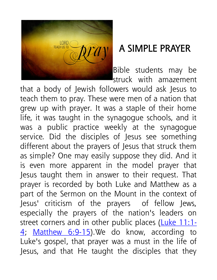

## A SIMPLE PRAYER

Bible students may be struck with amazement

that a body of Jewish followers would ask Jesus to teach them to pray. These were men of a nation that grew up with prayer. It was a staple of their home life, it was taught in the synagogue schools, and it was a public practice weekly at the synagogue service. Did the disciples of Jesus see something different about the prayers of Jesus that struck them as simple? One may easily suppose they did. And it is even more apparent in the model prayer that Jesus taught them in answer to their request. That prayer is recorded by both Luke and Matthew as a part of the Sermon on the Mount in the context of Jesus' criticism of the prayers of fellow Jews, especially the prayers of the nation's leaders on street corners and in other public places (Luke 11:1-4; Matthew 6:9-15). We do know, according to Luke's gospel, that prayer was a must in the life of Jesus, and that He taught the disciples that they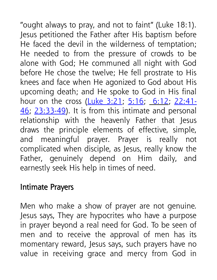"ought always to pray, and not to faint" (Luke 18:1). Jesus petitioned the Father after His baptism before He faced the devil in the wilderness of temptation; He needed to from the pressure of crowds to be alone with God; He communed all night with God before He chose the twelve; He fell prostrate to His knees and face when He agonized to God about His upcoming death; and He spoke to God in His final hour on the cross (Luke 3:21, 5:16; 6:12; 22:41-46; 23:33-49). It is from this intimate and personal relationship with the heavenly Father that Jesus draws the principle elements of effective, simple, and meaningful prayer. Prayer is really not complicated when disciple, as Jesus, really know the Father, genuinely depend on Him daily, and earnestly seek His help in times of need.

## Intimate Prayers

Men who make a show of prayer are not genuine. Jesus says, They are hypocrites who have a purpose in prayer beyond a real need for God. To be seen of men and to receive the approval of men has its momentary reward, Jesus says, such prayers have no value in receiving grace and mercy from God in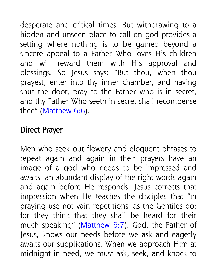desperate and critical times. But withdrawing to a hidden and unseen place to call on god provides a setting where nothing is to be gained beyond a sincere appeal to a Father Who loves His children and will reward them with His approval and blessings. So Jesus says: "But thou, when thou prayest, enter into thy inner chamber, and having shut the door, pray to the Father who is in secret, and thy Father Who seeth in secret shall recompense thee" (Matthew 6:6).

## Direct Prayer

Men who seek out flowery and eloquent phrases to repeat again and again in their prayers have an image of a god who needs to be impressed and awaits an abundant display of the right words again and again before He responds. Jesus corrects that impression when He teaches the disciples that "in praying use not vain repetitions, as the Gentiles do: for they think that they shall be heard for their much speaking" (Matthew 6:7). God, the Father of Jesus, knows our needs before we ask and eagerly awaits our supplications. When we approach Him at midnight in need, we must ask, seek, and knock to